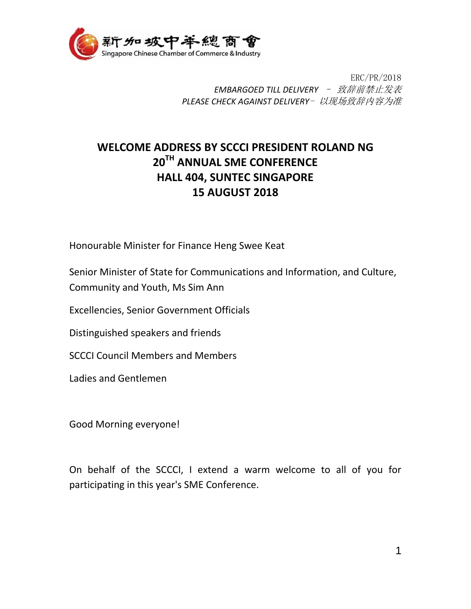

ERC/PR/2018 *EMBARGOED TILL DELIVERY* – 致辞前禁止发表 *PLEASE CHECK AGAINST DELIVERY*- 以现场致辞内容为准

## **WELCOME ADDRESS BY SCCCI PRESIDENT ROLAND NG 20TH ANNUAL SME CONFERENCE HALL 404, SUNTEC SINGAPORE 15 AUGUST 2018**

Honourable Minister for Finance Heng Swee Keat

Senior Minister of State for Communications and Information, and Culture, Community and Youth, Ms Sim Ann

Excellencies, Senior Government Officials

Distinguished speakers and friends

SCCCI Council Members and Members

Ladies and Gentlemen

Good Morning everyone!

On behalf of the SCCCI, I extend a warm welcome to all of you for participating in this year's SME Conference.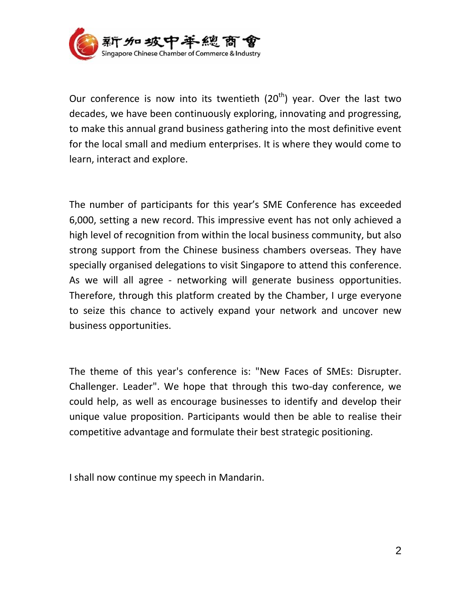

Our conference is now into its twentieth  $(20<sup>th</sup>)$  year. Over the last two decades, we have been continuously exploring, innovating and progressing, to make this annual grand business gathering into the most definitive event for the local small and medium enterprises. It is where they would come to learn, interact and explore.

The number of participants for this year's SME Conference has exceeded 6,000, setting a new record. This impressive event has not only achieved a high level of recognition from within the local business community, but also strong support from the Chinese business chambers overseas. They have specially organised delegations to visit Singapore to attend this conference. As we will all agree - networking will generate business opportunities. Therefore, through this platform created by the Chamber, I urge everyone to seize this chance to actively expand your network and uncover new business opportunities.

The theme of this year's conference is: "New Faces of SMEs: Disrupter. Challenger. Leader". We hope that through this two-day conference, we could help, as well as encourage businesses to identify and develop their unique value proposition. Participants would then be able to realise their competitive advantage and formulate their best strategic positioning.

I shall now continue my speech in Mandarin.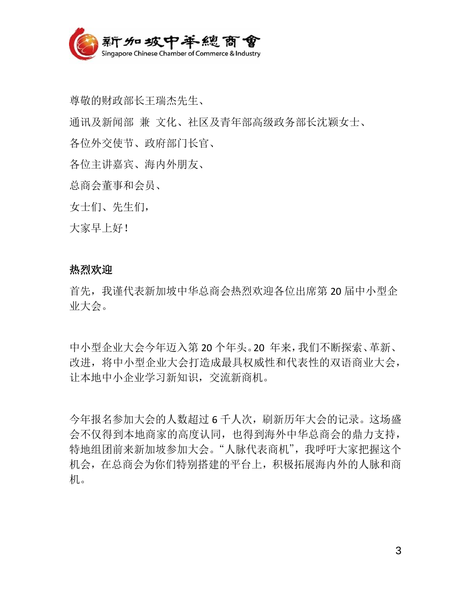

尊敬的财政部长王瑞杰先生、

通讯及新闻部 兼 文化、社区及青年部高级政务部长沈颖女士、

各位外交使节、政府部门长官、

各位主讲嘉宾、海内外朋友、

总商会董事和会员、

女士们、先生们,

大家早上好!

## 热烈欢迎

首先,我谨代表新加坡中华总商会热烈欢迎各位出席第 20 届中小型企 业大会。

中小型企业大会今年迈入第 20 个年头。20 年来,我们不断探索、革新、 改进,将中小型企业大会打造成最具权威性和代表性的双语商业大会, 让本地中小企业学习新知识,交流新商机。

今年报名参加大会的人数超过 6 千人次,刷新历年大会的记录。这场盛 会不仅得到本地商家的高度认同,也得到海外中华总商会的鼎力支持, 特地组团前来新加坡参加大会。"人脉代表商机",我呼吁大家把握这个 机会,在总商会为你们特别搭建的平台上,积极拓展海内外的人脉和商 机。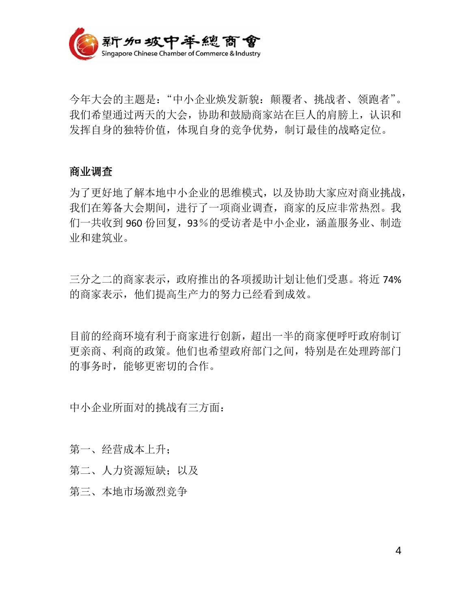

今年大会的主题是:"中小企业焕发新貌:颠覆者、挑战者、领跑者"。 我们希望通过两天的大会,协助和鼓励商家站在巨人的肩膀上,认识和 发挥自身的独特价值,体现自身的竞争优势,制订最佳的战略定位。

## 商业调查

为了更好地了解本地中小企业的思维模式,以及协助大家应对商业挑战, 我们在筹备大会期间,进行了一项商业调查,商家的反应非常热烈。我 们一共收到 960 份回复,93%的受访者是中小企业,涵盖服务业、制造 业和建筑业。

三分之二的商家表示,政府推出的各项援助计划让他们受惠。将近 74% 的商家表示,他们提高生产力的努力已经看到成效。

目前的经商环境有利于商家进行创新,超出一半的商家便呼吁政府制订 更亲商、利商的政策。他们也希望政府部门之间,特别是在处理跨部门 的事务时,能够更密切的合作。

中小企业所面对的挑战有三方面:

第一、经营成本上升;

第二、人力资源短缺;以及

第三、本地市场激烈竞争